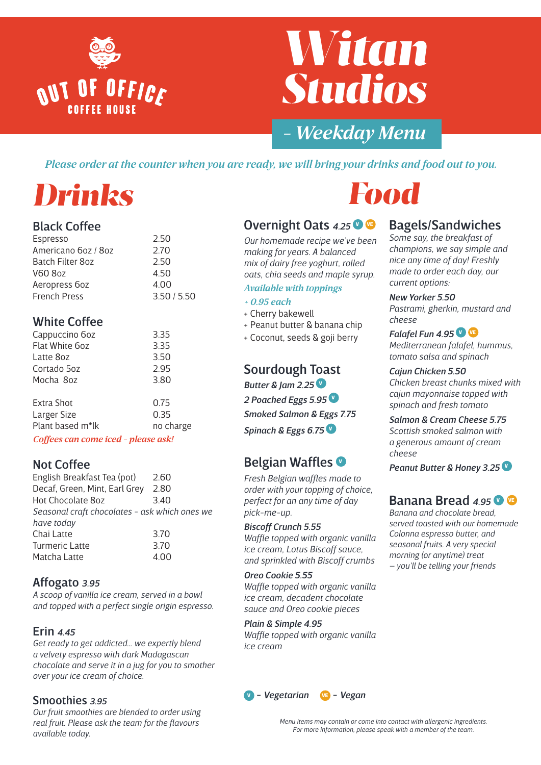

# *Witan Studios*

### *- Weekday Menu*

*Please order at the counter when you are ready, we will bring your drinks and food out to you.*

### *Drinks*

#### Black Coffee

| 2.50        |
|-------------|
| 2.70        |
| 2.50        |
| 4.50        |
| 4.00        |
| 3.50 / 5.50 |
|             |

#### White Coffee

| Cappuccino 6oz   | 3.35      |
|------------------|-----------|
| Flat White 6oz   | 3.35      |
| Latte 80z        | 3.50      |
| Cortado 5oz      | 2.95      |
| Mocha 8oz        | 3.80      |
| Extra Shot       | 0.75      |
| Larger Size      | 0.35      |
| Plant based m*lk | no charge |

*Coffees can come iced - please ask!*

#### Not Coffee

| English Breakfast Tea (pot)                   | 2.60 |  |
|-----------------------------------------------|------|--|
| Decaf, Green, Mint, Earl Grey                 | 2.80 |  |
| Hot Chocolate 8oz                             | 3.40 |  |
| Seasonal craft chocolates - ask which ones we |      |  |
| have today                                    |      |  |
| Chai Latte                                    | 3.70 |  |
| <b>Turmeric Latte</b>                         | 3.70 |  |
| Matcha Latte                                  | 4.00 |  |

#### Affogato *3.95*

*A scoop of vanilla ice cream, served in a bowl and topped with a perfect single origin espresso.*

#### Erin *4.45*

*Get ready to get addicted… we expertly blend a velvety espresso with dark Madagascan chocolate and serve it in a jug for you to smother over your ice cream of choice.*

#### Smoothies *3.95*

*Our fruit smoothies are blended to order using real fruit. Please ask the team for the flavours available today.*

## *Food*

#### Overnight Oats 4.25<sup>0</sup>

*Our homemade recipe we've been making for years. A balanced mix of dairy free yoghurt, rolled oats, chia seeds and maple syrup.* 

#### *Available with toppings*

#### *+ 0.95 each*

- + Cherry bakewell
- + Peanut butter & banana chip
- + Coconut, seeds & goji berry

#### Sourdough Toast

*Butter & Jam 2.25* <sup>V</sup> *2 Poached Eggs 5.95* <sup>V</sup> *Smoked Salmon & Eggs 7.75 Spinach & Eggs 6.75* <sup>V</sup>

#### Belgian Waffles <sup>O</sup>

*Fresh Belgian waffles made to order with your topping of choice, perfect for an any time of day pick-me-up.*

#### *Biscoff Crunch 5.55*

*Waffle topped with organic vanilla ice cream, Lotus Biscoff sauce, and sprinkled with Biscoff crumbs*

#### *Oreo Cookie 5.55*

*Waffle topped with organic vanilla ice cream, decadent chocolate sauce and Oreo cookie pieces*

#### *Plain & Simple 4.95*

*Waffle topped with organic vanilla ice cream*



#### Bagels/Sandwiches

*Some say, the breakfast of champions, we say simple and nice any time of day! Freshly made to order each day, our current options:*

*New Yorker 5.50 Pastrami, gherkin, mustard and cheese*

*Falafel Fun 4.95 Mediterranean falafel, hummus, tomato salsa and spinach*

#### *Cajun Chicken 5.50*

*Chicken breast chunks mixed with cajun mayonnaise topped with spinach and fresh tomato*

*Salmon & Cream Cheese 5.75 Scottish smoked salmon with a generous amount of cream cheese*

*Peanut Butter & Honey 3.25* <sup>V</sup>

#### Banana Bread 4.95 **O**

*Banana and chocolate bread, served toasted with our homemade Colonna espresso butter, and seasonal fruits. A very special morning (or anytime) treat – you'll be telling your friends*

*Menu items may contain or come into contact with allergenic ingredients. For more information, please speak with a member of the team.*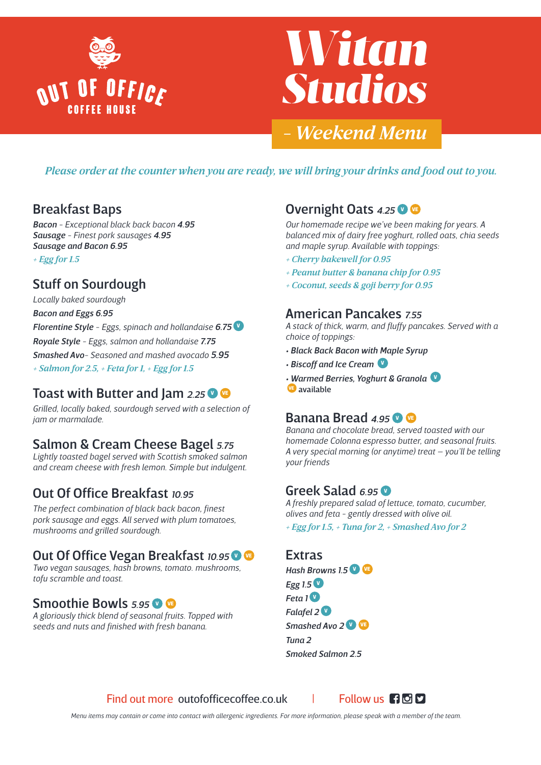

# *Witan Studios*

### *- Weekend Menu*

*Please order at the counter when you are ready, we will bring your drinks and food out to you.*

#### Breakfast Baps

*Bacon - Exceptional black back bacon 4.95 Sausage - Finest pork sausages 4.95 Sausage and Bacon 6.95 + Egg for 1.5*

#### Stuff on Sourdough

*Locally baked sourdough Bacon and Eggs 6.95 Florentine Style - Eggs, spinach and hollandaise 6.75* <sup>V</sup> *Royale Style - Eggs, salmon and hollandaise 7.75 Smashed Avo- Seasoned and mashed avocado 5.95 + Salmon for 2.5, + Feta for 1, + Egg for 1.5*

#### Toast with Butter and Jam 2.25<sup>0</sup>

*Grilled, locally baked, sourdough served with a selection of jam or marmalade.*

#### Salmon & Cream Cheese Bagel *5.75*

*Lightly toasted bagel served with Scottish smoked salmon and cream cheese with fresh lemon. Simple but indulgent.*

#### Out Of Office Breakfast *10.95*

*The perfect combination of black back bacon, finest pork sausage and eggs. All served with plum tomatoes, mushrooms and grilled sourdough.*

#### **Out Of Office Vegan Breakfast 10.95 O G**

*Two vegan sausages, hash browns, tomato. mushrooms, tofu scramble and toast.*

#### **Smoothie Bowls 5.95 VE**

*A gloriously thick blend of seasonal fruits. Topped with seeds and nuts and finished with fresh banana.*

#### **Overnight Oats 4.25 V VE**

*Our homemade recipe we've been making for years. A balanced mix of dairy free yoghurt, rolled oats, chia seeds and maple syrup. Available with toppings:*

- *+ Cherry bakewell for 0.95*
- *+ Peanut butter & banana chip for 0.95*
- *+ Coconut, seeds & goji berry for 0.95*

#### American Pancakes *7.55*

*A stack of thick, warm, and fluffy pancakes. Served with a choice of toppings:*

- *Black Back Bacon with Maple Syrup*
- *Biscoff and Ice Cream* <sup>V</sup>
- *Warmed Berries, Yoghurt & Granola* <sup>V</sup>
- VE available

#### Banana Bread 495<sup>0</sup>

*Banana and chocolate bread, served toasted with our homemade Colonna espresso butter, and seasonal fruits. A very special morning (or anytime) treat – you'll be telling your friends*

#### Greek Salad 6.95 V

*A freshly prepared salad of lettuce, tomato, cucumber, olives and feta - gently dressed with olive oil. + Egg for 1.5, + Tuna for 2, + Smashed Avo for 2*

**Extras** *Hash Browns 1.5* <sup>V</sup> VE *Egg 1.5* <sup>V</sup>  $Feta$  1<sup>0</sup> *Falafel 2* <sup>V</sup> **Smashed Avo 2 V VE** *Tuna 2 Smoked Salmon 2.5*

Find out more outofofficecoffee.co.uk | Follow us **A**OD

*Menu items may contain or come into contact with allergenic ingredients. For more information, please speak with a member of the team.*